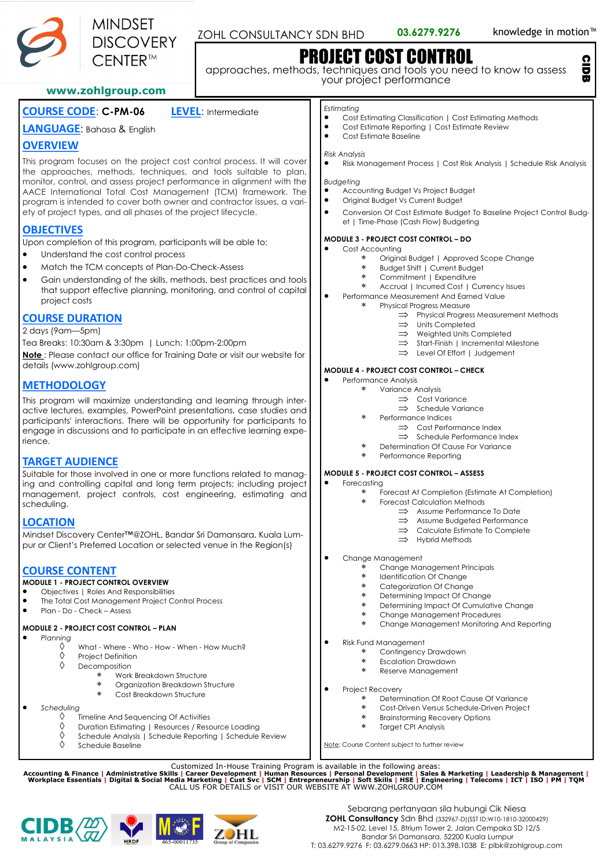

# ZOHL CONSULTANCY SDN BHD **03.6279.9276** knowledge in motion<sup>™</sup>

CIDB

# PROJECT COST CONTROL

approaches, methods, techniques and tools you need to know to assess your project performance

## **www.zohlgroup.com**

# **COURSE CODE**: **C-PM-06 LEVEL**: Intermediate

# **LANGUAGE**: Bahasa & English

# **OVERVIEW**

This program focuses on the project cost control process. It will cover the approaches, methods, techniques, and tools suitable to plan, monitor, control, and assess project performance in alignment with the AACE International Total Cost Management (TCM) framework. The program is intended to cover both owner and contractor issues, a variety of project types, and all phases of the project lifecycle.

# **OBJECTIVES**

Upon completion of this program, participants will be able to:

- Understand the cost control process
- Match the TCM concepts of Plan-Do-Check-Assess
- Gain understanding of the skills, methods, best practices and tools that support effective planning, monitoring, and control of capital project costs

# **COURSE DURATION**

2 days (9am—5pm)

Tea Breaks: 10:30am & 3:30pm | Lunch: 1:00pm-2:00pm

**Note** : Please contact our office for Training Date or visit our website for details (www.zohlgroup.com)

## **METHODOLOGY**

This program will maximize understanding and learning through interactive lectures, examples, PowerPoint presentations, case studies and participants' interactions. There will be opportunity for participants to engage in discussions and to participate in an effective learning experience.

## **TARGET AUDIENCE**

Suitable for those involved in one or more functions related to managing and controlling capital and long term projects; including project management, project controls, cost engineering, estimating and scheduling.

## **LOCATION**

Mindset Discovery Center™@ZOHL, Bandar Sri Damansara, Kuala Lumpur or Client's Preferred Location or selected venue in the Region(s)

# **COURSE CONTENT**

# **MODULE 1 - PROJECT CONTROL OVERVIEW**

- Objectives | Roles And Responsibilities<br>• The Total Cost Management Project Co
- The Total Cost Management Project Control Process
- Plan Do Check Assess

## **MODULE 2 - PROJECT COST CONTROL – PLAN**

- *Planning*
	- $\Diamond$  What Where Who How When How Much?<br> $\Diamond$  Project Definition
	- $\Diamond$  Project Definition
		- Decomposition
			- \* Work Breakdown Structure
				- \* Organization Breakdown Structure<br>\* Cost Breakdown Structure
				- Cost Breakdown Structure

• *Scheduling*

 $CIDE\langle\frac{20}{37}\rangle$ 

- 
- $\Diamond$  Timeline And Sequencing Of Activities<br> $\Diamond$  Duration Estimating L Resources / Reso
- $\Diamond$  Duration Estimating | Resources / Resource Loading  $\Diamond$  Schedule Anglysis | Schedule Reporting | Schedule  $\circ$  Schedule Analysis | Schedule Reporting | Schedule Review

465-00011735

Schedule Baseline

- *Estimating*
- Cost Estimating Classification | Cost Estimating Methods
- Cost Estimate Reporting | Cost Estimate Review
- Cost Estimate Baseline

#### *Risk Analysis*

- Risk Management Process | Cost Risk Analysis | Schedule Risk Analysis
- *Budgeting*
- Accounting Budget Vs Project Budget
- Original Budget Vs Current Budget
- Conversion Of Cost Estimate Budget To Baseline Project Control Budget | Time-Phase (Cash Flow) Budgeting

#### **MODULE 3 - PROJECT COST CONTROL – DO**

- Cost Accounting
	- \* Original Budget | Approved Scope Change<br>\* Budget Shift | Current Budget
	- Budget Shift | Current Budget
	- \* Commitment | Expenditure<br>\* Accrual Uncurred Cost LC
- Accrual | Incurred Cost | Currency Issues
- Performance Measurement And Farned Value
	- Physical Progress Measure
		- $\Rightarrow$  Physical Progress Measurement Methods<br> $\Rightarrow$  Units Completed
		- $\Rightarrow$  Units Completed<br> $\Rightarrow$  Weighted Units C
		- Weighted Units Completed
		- $\implies$  Start-Finish | Incremental Milestone
		- $\implies$  Level Of Effort | Judgement

#### **MODULE 4 - PROJECT COST CONTROL – CHECK**

- Performance Analysis
	- Variance Analysis
		- $\implies$  Cost Variance
		- $\Rightarrow$  Schedule Variance
		- Performance Indices
		- $\Rightarrow$  Cost Performance Index
		- $\Rightarrow$  Schedule Performance Index Determination Of Cause For Variance
	- Performance Reporting
	-

#### **MODULE 5 - PROJECT COST CONTROL – ASSESS**

#### **Forecasting**

- Forecast At Completion (Estimate At Completion)
- Forecast Calculation Methods
	- ⇒ Assume Performance To Date
	- $\implies$  Assume Budgeted Performance
	- $\Rightarrow$  Calculate Estimate To Complete
	- $\implies$  Hybrid Methods
- Change Management
	- Change Management Principals
	- \* Identification Of Change
	- \* Categorization Of Change
	- Determining Impact Of Change
	- Determining Impact Of Cumulative Change
	- Change Management Procedures
	- Change Management Monitoring And Reporting
- Risk Fund Management
	- \* Contingency Drawdown<br>\* Freelsting Drawdown
	- \* Escalation Drawdown<br>\* Reserve Management

\* Target CPI Analysis Note: Course Content subject to further review

- Reserve Management
- **•** Project Recovery

Customized In-House Training Program is available in the following areas:<br>Accounting & Finance | Administrative Skills | Career Development | Human Resources | Personal Development | Sales & Marketing | Leadership & Manage

 Determination Of Root Cause Of Variance Cost-Driven Versus Schedule-Driven Project

Brainstorming Recovery Options

Sebarang pertanyaan sila hubungi Cik Niesa **ZOHL Consultancy** Sdn Bhd (332967-D)(SST ID:W10-1810-32000429) M2-15-02, Level 15, 8trium Tower 2, Jalan Cempaka SD 12/5 Bandar Sri Damansara, 52200 Kuala Lumpur T: 03.6279.9276 F: 03.6279.0663 HP: 013.398.1038 E: plbk@zohlgroup.com